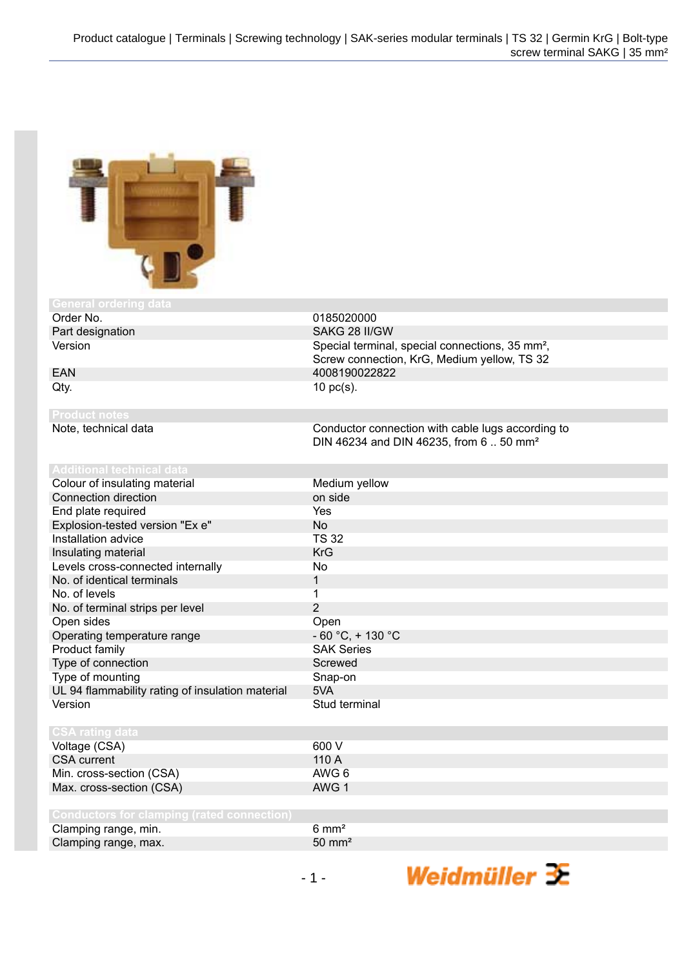

| <u>General ordering data</u>                      |                                                                                                            |
|---------------------------------------------------|------------------------------------------------------------------------------------------------------------|
| Order No.                                         | 0185020000                                                                                                 |
| Part designation                                  | SAKG 28 II/GW                                                                                              |
| Version                                           | Special terminal, special connections, 35 mm <sup>2</sup> ,<br>Screw connection, KrG, Medium yellow, TS 32 |
| <b>EAN</b>                                        | 4008190022822                                                                                              |
| Qty.                                              | $10$ pc(s).                                                                                                |
| <b>Product notes</b>                              |                                                                                                            |
| Note, technical data                              | Conductor connection with cable lugs according to<br>DIN 46234 and DIN 46235, from 6  50 mm <sup>2</sup>   |
| <b>Additional technical data</b>                  |                                                                                                            |
| Colour of insulating material                     | Medium yellow                                                                                              |
| Connection direction                              | on side                                                                                                    |
| End plate required                                | <b>Yes</b>                                                                                                 |
| Explosion-tested version "Ex e"                   | <b>No</b>                                                                                                  |
| Installation advice                               | <b>TS 32</b>                                                                                               |
| Insulating material                               | <b>KrG</b>                                                                                                 |
| Levels cross-connected internally                 | No                                                                                                         |
| No. of identical terminals                        | 1                                                                                                          |
| No. of levels                                     | 1                                                                                                          |
| No. of terminal strips per level                  | $\overline{2}$                                                                                             |
| Open sides                                        | Open                                                                                                       |
| Operating temperature range                       | $-60 °C$ , + 130 °C                                                                                        |
| Product family                                    | <b>SAK Series</b>                                                                                          |
| Type of connection                                | Screwed                                                                                                    |
| Type of mounting                                  | Snap-on                                                                                                    |
| UL 94 flammability rating of insulation material  | 5VA                                                                                                        |
| Version                                           | Stud terminal                                                                                              |
| <b>CSA rating data</b>                            |                                                                                                            |
| Voltage (CSA)                                     | 600 V                                                                                                      |
| <b>CSA</b> current                                | 110 A                                                                                                      |
| Min. cross-section (CSA)                          | AWG 6                                                                                                      |
| Max. cross-section (CSA)                          | AWG 1                                                                                                      |
|                                                   |                                                                                                            |
| <b>Conductors for clamping (rated connection)</b> |                                                                                                            |
| Clamping range, min.                              | $6 \text{ mm}^2$                                                                                           |
| Clamping range, max.                              | $50 \text{ mm}^2$                                                                                          |

Weidmüller 3E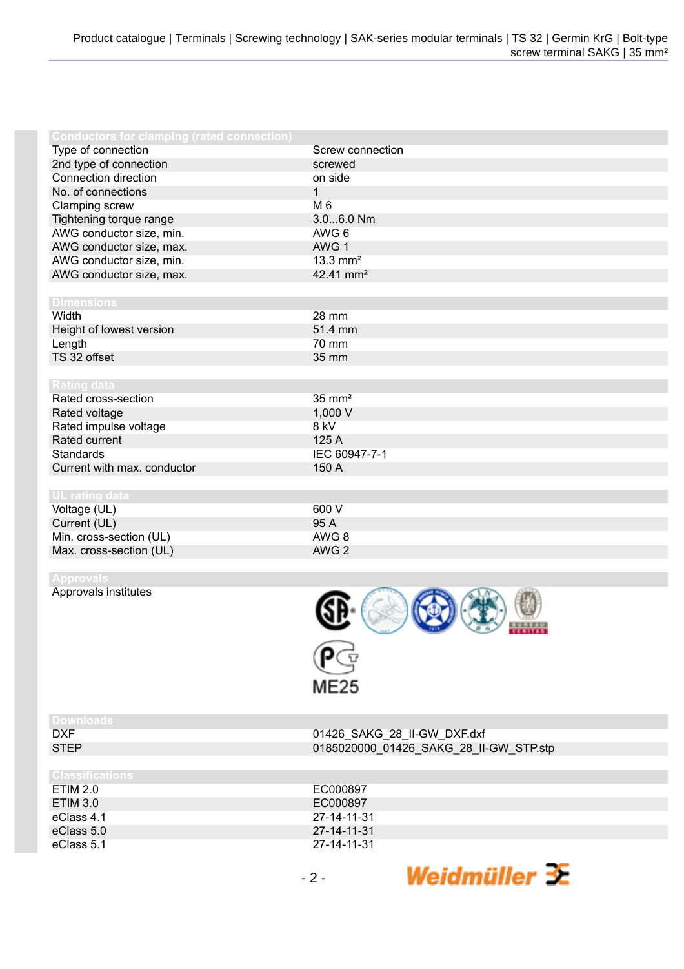| <b>Conductors for clamping (rated connection)</b> |                        |
|---------------------------------------------------|------------------------|
| Type of connection                                | Screw connection       |
| 2nd type of connection                            | screwed                |
| Connection direction                              | on side                |
| No. of connections                                | $\mathbf{1}$           |
| Clamping screw                                    | M 6                    |
| Tightening torque range                           | 3.06.0 Nm              |
| AWG conductor size, min.                          | AWG 6                  |
| AWG conductor size, max.                          | AWG 1                  |
| AWG conductor size, min.                          | $13.3$ mm <sup>2</sup> |
| AWG conductor size, max.                          | 42.41 mm <sup>2</sup>  |
|                                                   |                        |
| <b>Dimensions</b>                                 |                        |
| Width                                             | 28 mm                  |
| Height of lowest version                          | 51.4 mm                |
| Length                                            | 70 mm                  |
| TS 32 offset                                      | 35 mm                  |
|                                                   |                        |
| <b>Rating data</b>                                |                        |
| Rated cross-section                               | $35 \text{ mm}^2$      |
| Rated voltage                                     | 1,000 V                |
| Rated impulse voltage                             | 8 kV                   |
| Rated current                                     | 125 A                  |
| <b>Standards</b>                                  | IEC 60947-7-1          |
| Current with max. conductor                       | 150 A                  |
|                                                   |                        |
| UL rating data                                    |                        |
| Voltage (UL)                                      | 600 V                  |
| Current (UL)                                      | 95 A                   |
| Min. cross-section (UL)                           | AWG 8                  |
| Max. cross-section (UL)                           | AWG <sub>2</sub>       |
|                                                   |                        |
| <b>Approvals</b>                                  |                        |
| Approvals institutes                              |                        |
|                                                   |                        |
|                                                   |                        |

| <b>Downloads</b>       |                                        |
|------------------------|----------------------------------------|
| <b>DXF</b>             | 01426_SAKG_28_II-GW_DXF.dxf            |
| <b>STEP</b>            | 0185020000 01426 SAKG 28 II-GW STP.stp |
|                        |                                        |
| <b>Classifications</b> |                                        |
| ETIM 2.0               | EC000897                               |
| ETIM 3.0               | EC000897                               |
| eClass 4.1             | 27-14-11-31                            |
| eClass 5.0             | 27-14-11-31                            |
| eClass 5.1             | 27-14-11-31                            |
|                        |                                        |